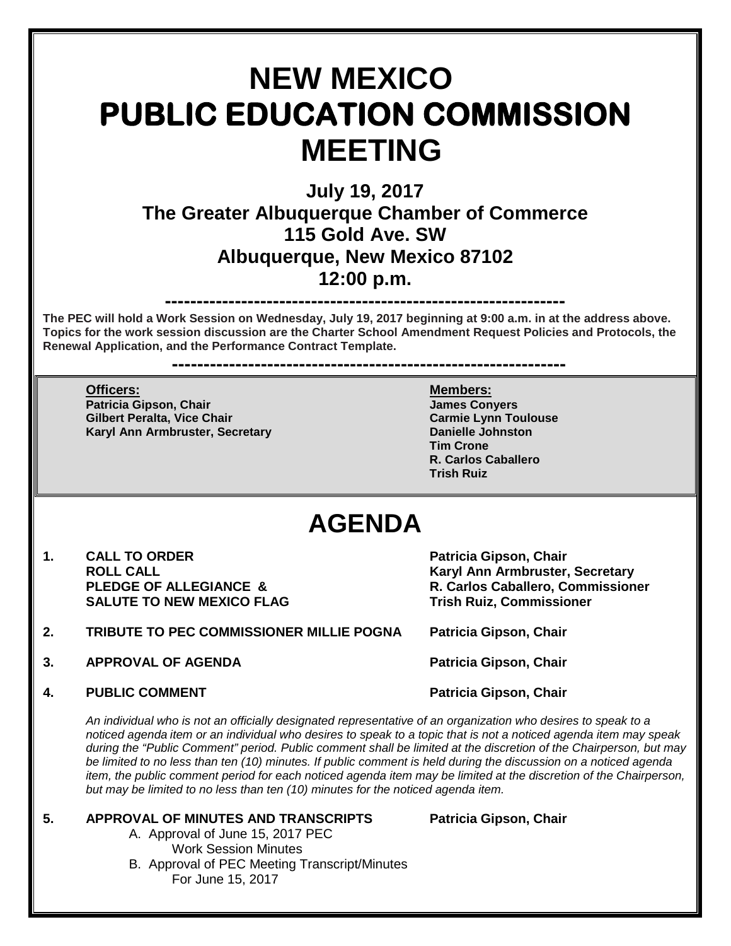# **NEW MEXICO PUBLIC EDUCATION COMMISSION MEETING**

## **July 19, 2017 The Greater Albuquerque Chamber of Commerce 115 Gold Ave. SW Albuquerque, New Mexico 87102 12:00 p.m.**

**---------------------------------------------------------------**

**The PEC will hold a Work Session on Wednesday, July 19, 2017 beginning at 9:00 a.m. in at the address above. Topics for the work session discussion are the Charter School Amendment Request Policies and Protocols, the Renewal Application, and the Performance Contract Template.** 

**--------------------------------------------------------------**

**Officers: Members: Patricia Gipson, Chair Gilbert Peralta, Vice Chair Carmie Lynn Toulouse Karyl Ann Armbruster, Secretary** 

**Tim Crone R. Carlos Caballero Trish Ruiz**

## **AGENDA**

- 1. **CALL TO ORDER 1. CALL TO ORDER Patricia Gipson, Chair**<br>ROLL CALL **SALUTE TO NEW MEXICO FLAG**
- **2. TRIBUTE TO PEC COMMISSIONER MILLIE POGNA Patricia Gipson, Chair**
- **3. APPROVAL OF AGENDA Patricia Gipson, Chair**
- **4. PUBLIC COMMENT Patricia Gipson, Chair** Patricia Gipson, Chair

**ROLL CALL CALL AND ROLL CALL CALL AND RESULTS AND RESULTS AND RESULTS AND RESULTS ARE PLEDGE OF ALLEGIANCE & COMMUNITY RESULTS AND RESULTS AND RESULTS AND RESULTS AND RESULTS AND RESULTS AND RESULTS AND RESULTS AND RESULT R. Carlos Caballero, Commissioner<br>Trish Ruiz, Commissioner** 

*An individual who is not an officially designated representative of an organization who desires to speak to a noticed agenda item or an individual who desires to speak to a topic that is not a noticed agenda item may speak during the "Public Comment" period. Public comment shall be limited at the discretion of the Chairperson, but may*  be limited to no less than ten (10) minutes. If public comment is held during the discussion on a noticed agenda *item, the public comment period for each noticed agenda item may be limited at the discretion of the Chairperson, but may be limited to no less than ten (10) minutes for the noticed agenda item.*

### **5. APPROVAL OF MINUTES AND TRANSCRIPTS Patricia Gipson, Chair** A. Approval of June 15, 2017 PEC

Work Session Minutes B. Approval of PEC Meeting Transcript/Minutes For June 15, 2017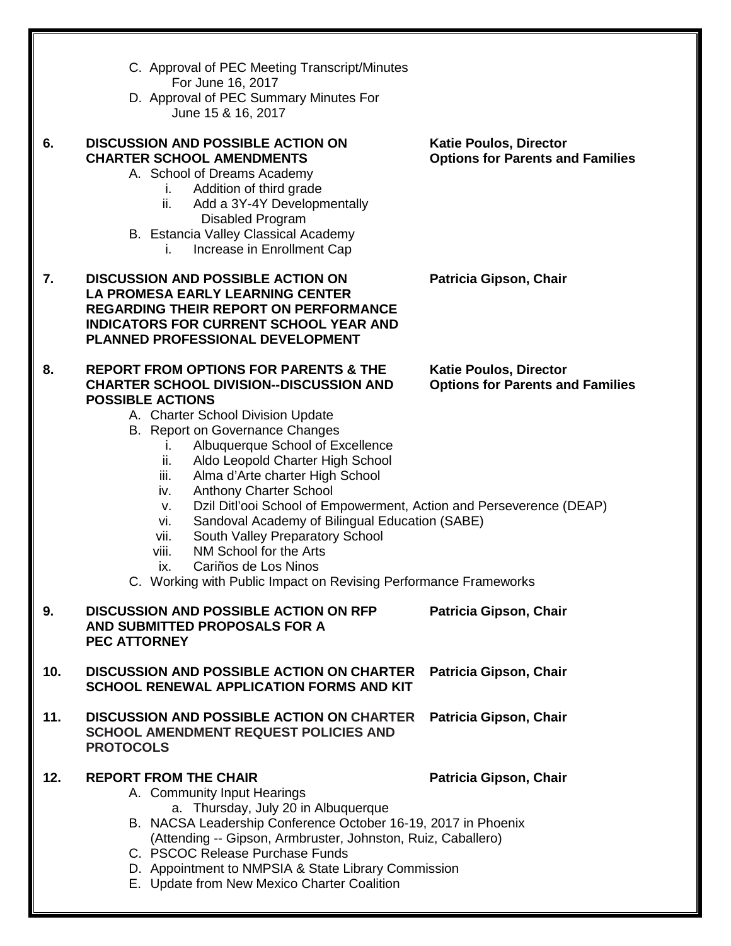|     | C. Approval of PEC Meeting Transcript/Minutes                                                                                                                                                                                                                                                                                                                                                                                                                                                                                                                                                     |                                                                          |
|-----|---------------------------------------------------------------------------------------------------------------------------------------------------------------------------------------------------------------------------------------------------------------------------------------------------------------------------------------------------------------------------------------------------------------------------------------------------------------------------------------------------------------------------------------------------------------------------------------------------|--------------------------------------------------------------------------|
|     | For June 16, 2017<br>D. Approval of PEC Summary Minutes For<br>June 15 & 16, 2017                                                                                                                                                                                                                                                                                                                                                                                                                                                                                                                 |                                                                          |
| 6.  | <b>DISCUSSION AND POSSIBLE ACTION ON</b><br><b>CHARTER SCHOOL AMENDMENTS</b><br>A. School of Dreams Academy<br>Addition of third grade<br>L.<br>Add a 3Y-4Y Developmentally<br>ii.<br>Disabled Program<br>B. Estancia Valley Classical Academy<br>Increase in Enrollment Cap<br>İ.                                                                                                                                                                                                                                                                                                                | <b>Katie Poulos, Director</b><br><b>Options for Parents and Families</b> |
| 7.  | <b>DISCUSSION AND POSSIBLE ACTION ON</b><br><b>LA PROMESA EARLY LEARNING CENTER</b><br><b>REGARDING THEIR REPORT ON PERFORMANCE</b><br><b>INDICATORS FOR CURRENT SCHOOL YEAR AND</b><br>PLANNED PROFESSIONAL DEVELOPMENT                                                                                                                                                                                                                                                                                                                                                                          | Patricia Gipson, Chair                                                   |
| 8.  | <b>REPORT FROM OPTIONS FOR PARENTS &amp; THE</b><br><b>CHARTER SCHOOL DIVISION--DISCUSSION AND</b><br><b>POSSIBLE ACTIONS</b><br>A. Charter School Division Update<br>B. Report on Governance Changes<br>Albuquerque School of Excellence<br>L.<br>Aldo Leopold Charter High School<br>ii.<br>Alma d'Arte charter High School<br>iii.<br><b>Anthony Charter School</b><br>iv.<br>Dzil Ditl'ooi School of Empowerment, Action and Perseverence (DEAP)<br>v.<br>Sandoval Academy of Bilingual Education (SABE)<br>vi.<br>South Valley Preparatory School<br>vii.<br>NM School for the Arts<br>viii. | <b>Katie Poulos, Director</b><br><b>Options for Parents and Families</b> |
|     | Cariños de Los Ninos<br>ix.<br>C. Working with Public Impact on Revising Performance Frameworks                                                                                                                                                                                                                                                                                                                                                                                                                                                                                                   |                                                                          |
| 9.  | <b>DISCUSSION AND POSSIBLE ACTION ON RFP</b><br>AND SUBMITTED PROPOSALS FOR A<br><b>PEC ATTORNEY</b>                                                                                                                                                                                                                                                                                                                                                                                                                                                                                              | Patricia Gipson, Chair                                                   |
| 10. | <b>DISCUSSION AND POSSIBLE ACTION ON CHARTER</b><br><b>SCHOOL RENEWAL APPLICATION FORMS AND KIT</b>                                                                                                                                                                                                                                                                                                                                                                                                                                                                                               | Patricia Gipson, Chair                                                   |
| 11. | <b>DISCUSSION AND POSSIBLE ACTION ON CHARTER</b><br><b>SCHOOL AMENDMENT REQUEST POLICIES AND</b><br><b>PROTOCOLS</b>                                                                                                                                                                                                                                                                                                                                                                                                                                                                              | Patricia Gipson, Chair                                                   |
| 12. | <b>REPORT FROM THE CHAIR</b><br>A. Community Input Hearings<br>a. Thursday, July 20 in Albuquerque<br>B. NACSA Leadership Conference October 16-19, 2017 in Phoenix<br>(Attending -- Gipson, Armbruster, Johnston, Ruiz, Caballero)<br>C. PSCOC Release Purchase Funds<br>D. Appointment to NMPSIA & State Library Commission<br>E Undete from New Meyico Charter Coolition                                                                                                                                                                                                                       | Patricia Gipson, Chair                                                   |

E. Update from New Mexico Charter Coalition